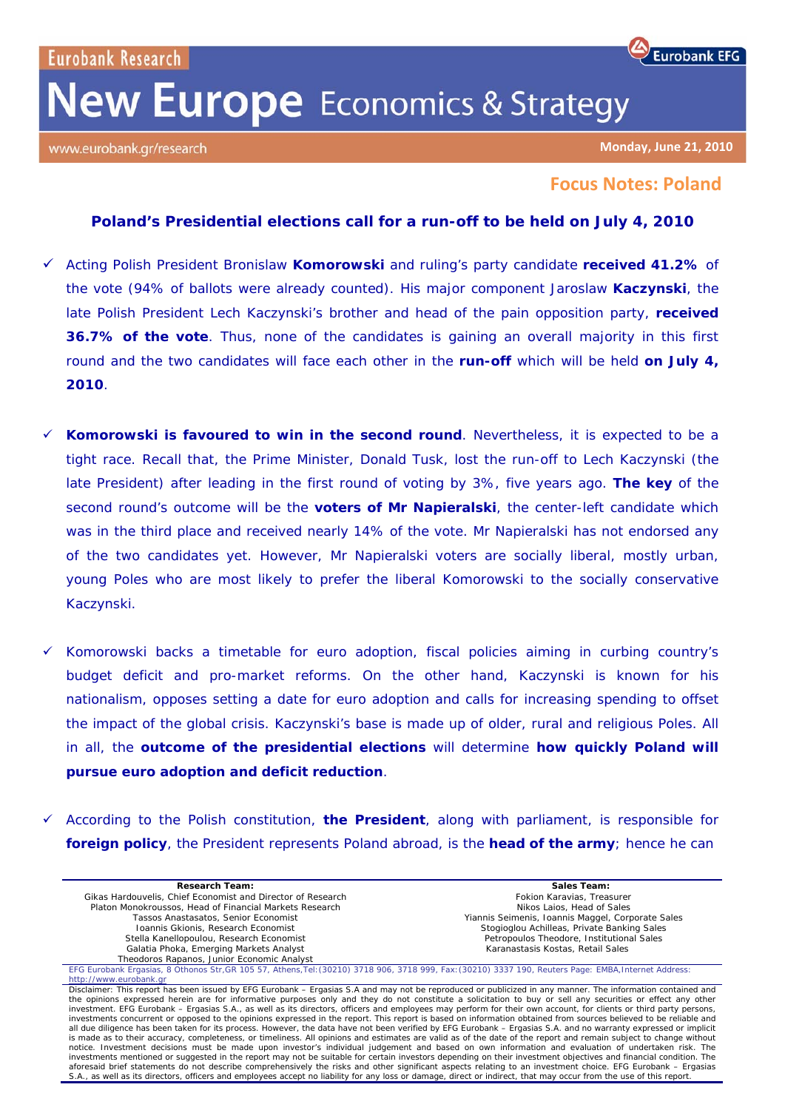## **New Europe** Economics & Strategy

www.eurobank.gr/research

**Monday, June 21, 2010**

**Eurobank EFG** 

## **Focus Notes: Poland**

## **Poland's Presidential elections call for a run-off to be held on July 4, 2010**

- 9 Acting Polish President Bronislaw **Komorowski** and ruling's party candidate **received 41.2%** of the vote (94% of ballots were already counted). His major component Jaroslaw **Kaczynski**, the late Polish President Lech Kaczynski's brother and head of the pain opposition party, **received 36.7% of the vote**. Thus, none of the candidates is gaining an overall majority in this first round and the two candidates will face each other in the **run-off** which will be held **on July 4, 2010**.
- 9 **Komorowski is favoured to win in the second round**. Nevertheless, it is expected to be a tight race. Recall that, the Prime Minister, Donald Tusk, lost the run-off to Lech Kaczynski (the late President) after leading in the first round of voting by 3%, five years ago. **The key** of the second round's outcome will be the **voters of Mr Napieralski**, the center-left candidate which was in the third place and received nearly 14% of the vote. Mr Napieralski has not endorsed any of the two candidates yet. However, Mr Napieralski voters are socially liberal, mostly urban, young Poles who are most likely to prefer the liberal Komorowski to the socially conservative Kaczynski.
- 9 Komorowski backs a timetable for euro adoption, fiscal policies aiming in curbing country's budget deficit and pro-market reforms. On the other hand, Kaczynski is known for his nationalism, opposes setting a date for euro adoption and calls for increasing spending to offset the impact of the global crisis. Kaczynski's base is made up of older, rural and religious Poles. All in all, the **outcome of the presidential elections** will determine **how quickly Poland will pursue euro adoption and deficit reduction**.
- 9 According to the Polish constitution, **the President**, along with parliament, is responsible for **foreign policy**, the President represents Poland abroad, is the **head of the army**; hence he can

| <b>Research Team:</b>                                                                                                                                                                                                                                                                                                   | Sales Team:                                       |
|-------------------------------------------------------------------------------------------------------------------------------------------------------------------------------------------------------------------------------------------------------------------------------------------------------------------------|---------------------------------------------------|
| Gikas Hardouvelis, Chief Economist and Director of Research                                                                                                                                                                                                                                                             | Fokion Karavias, Treasurer                        |
| Platon Monokroussos, Head of Financial Markets Research                                                                                                                                                                                                                                                                 | Nikos Laios. Head of Sales                        |
| Tassos Anastasatos, Senior Economist                                                                                                                                                                                                                                                                                    | Yiannis Seimenis, Ioannis Maggel, Corporate Sales |
| Ioannis Gkionis, Research Economist                                                                                                                                                                                                                                                                                     | Stogioglou Achilleas, Private Banking Sales       |
| Stella Kanellopoulou, Research Economist                                                                                                                                                                                                                                                                                | Petropoulos Theodore, Institutional Sales         |
| Galatia Phoka, Emerging Markets Analyst                                                                                                                                                                                                                                                                                 | Karanastasis Kostas, Retail Sales                 |
| Theodoros Rapanos, Junior Economic Analyst                                                                                                                                                                                                                                                                              |                                                   |
| EFG Eurobank Ergasias, 8 Othonos Str, GR 105 57, Athens, Tel: (30210) 3718 906, 3718 999, Fax: (30210) 3337 190, Reuters Page: EMBA, Internet Address:                                                                                                                                                                  |                                                   |
| http://www.eurobank.gr                                                                                                                                                                                                                                                                                                  |                                                   |
| Disclaimer: This report has been issued by EFG Eurobank – Ergasias S.A and may not be reproduced or publicized in any manner. The information contained and                                                                                                                                                             |                                                   |
| the opinions expressed herein are for informative purposes only and they do not constitute a solicitation to buy or sell any securities or effect any other                                                                                                                                                             |                                                   |
| investment. EFG Eurobank – Ergasias S.A., as well as its directors, officers and employees may perform for their own account, for clients or third party persons,                                                                                                                                                       |                                                   |
| investments concurrent or opposed to the opinions expressed in the report. This report is based on information obtained from sources believed to be reliable and                                                                                                                                                        |                                                   |
| all due diligence has been taken for its process. However, the data have not been verified by EFG Eurobank – Ergasias S.A. and no warranty expressed or implicit                                                                                                                                                        |                                                   |
| is made as to their accuracy, completeness, or timeliness. All opinions and estimates are valid as of the date of the report and remain subject to change without<br>notice. Investment decisions must be made upon investor's individual judgement and based on own information and evaluation of undertaken risk. The |                                                   |
| investments mentioned or suggested in the report may not be suitable for certain investors depending on their investment objectives and financial condition. The                                                                                                                                                        |                                                   |
| aforesaid brief statements do not describe comprehensively the risks and other significant aspects relating to an investment choice. EFG Eurobank - Ergasias                                                                                                                                                            |                                                   |
| S.A., as well as its directors, officers and employees accept no liability for any loss or damage, direct or indirect, that may occur from the use of this report.                                                                                                                                                      |                                                   |